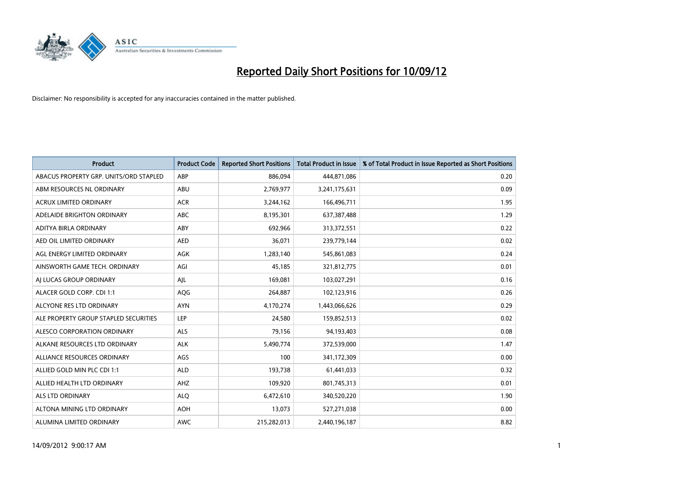

| <b>Product</b>                         | <b>Product Code</b> | <b>Reported Short Positions</b> | <b>Total Product in Issue</b> | % of Total Product in Issue Reported as Short Positions |
|----------------------------------------|---------------------|---------------------------------|-------------------------------|---------------------------------------------------------|
| ABACUS PROPERTY GRP. UNITS/ORD STAPLED | ABP                 | 886,094                         | 444,871,086                   | 0.20                                                    |
| ABM RESOURCES NL ORDINARY              | ABU                 | 2,769,977                       | 3,241,175,631                 | 0.09                                                    |
| <b>ACRUX LIMITED ORDINARY</b>          | <b>ACR</b>          | 3,244,162                       | 166,496,711                   | 1.95                                                    |
| ADELAIDE BRIGHTON ORDINARY             | ABC                 | 8,195,301                       | 637,387,488                   | 1.29                                                    |
| ADITYA BIRLA ORDINARY                  | ABY                 | 692,966                         | 313,372,551                   | 0.22                                                    |
| AED OIL LIMITED ORDINARY               | <b>AED</b>          | 36,071                          | 239,779,144                   | 0.02                                                    |
| AGL ENERGY LIMITED ORDINARY            | <b>AGK</b>          | 1,283,140                       | 545,861,083                   | 0.24                                                    |
| AINSWORTH GAME TECH. ORDINARY          | AGI                 | 45,185                          | 321,812,775                   | 0.01                                                    |
| AI LUCAS GROUP ORDINARY                | AJL                 | 169,081                         | 103,027,291                   | 0.16                                                    |
| ALACER GOLD CORP. CDI 1:1              | AQG                 | 264,887                         | 102,123,916                   | 0.26                                                    |
| ALCYONE RES LTD ORDINARY               | <b>AYN</b>          | 4,170,274                       | 1,443,066,626                 | 0.29                                                    |
| ALE PROPERTY GROUP STAPLED SECURITIES  | LEP                 | 24,580                          | 159,852,513                   | 0.02                                                    |
| ALESCO CORPORATION ORDINARY            | <b>ALS</b>          | 79,156                          | 94,193,403                    | 0.08                                                    |
| ALKANE RESOURCES LTD ORDINARY          | <b>ALK</b>          | 5,490,774                       | 372,539,000                   | 1.47                                                    |
| ALLIANCE RESOURCES ORDINARY            | AGS                 | 100                             | 341,172,309                   | 0.00                                                    |
| ALLIED GOLD MIN PLC CDI 1:1            | <b>ALD</b>          | 193,738                         | 61,441,033                    | 0.32                                                    |
| ALLIED HEALTH LTD ORDINARY             | AHZ                 | 109,920                         | 801,745,313                   | 0.01                                                    |
| ALS LTD ORDINARY                       | <b>ALQ</b>          | 6,472,610                       | 340,520,220                   | 1.90                                                    |
| ALTONA MINING LTD ORDINARY             | <b>AOH</b>          | 13,073                          | 527,271,038                   | 0.00                                                    |
| ALUMINA LIMITED ORDINARY               | <b>AWC</b>          | 215,282,013                     | 2,440,196,187                 | 8.82                                                    |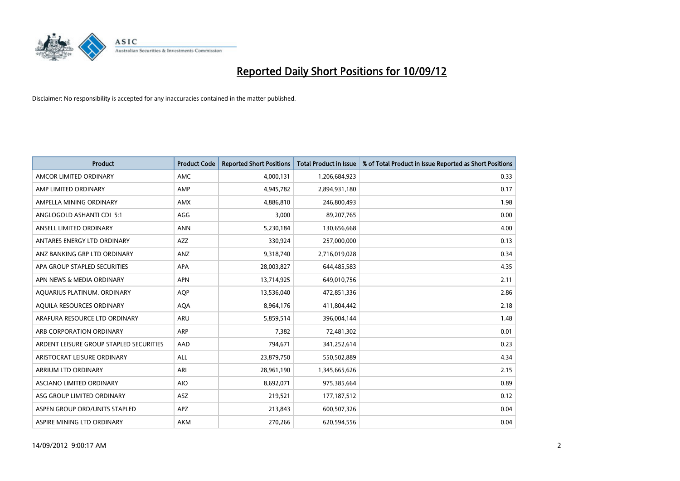

| <b>Product</b>                          | <b>Product Code</b> | <b>Reported Short Positions</b> | <b>Total Product in Issue</b> | % of Total Product in Issue Reported as Short Positions |
|-----------------------------------------|---------------------|---------------------------------|-------------------------------|---------------------------------------------------------|
| AMCOR LIMITED ORDINARY                  | <b>AMC</b>          | 4,000,131                       | 1,206,684,923                 | 0.33                                                    |
| AMP LIMITED ORDINARY                    | AMP                 | 4,945,782                       | 2,894,931,180                 | 0.17                                                    |
| AMPELLA MINING ORDINARY                 | <b>AMX</b>          | 4,886,810                       | 246,800,493                   | 1.98                                                    |
| ANGLOGOLD ASHANTI CDI 5:1               | AGG                 | 3,000                           | 89,207,765                    | 0.00                                                    |
| ANSELL LIMITED ORDINARY                 | <b>ANN</b>          | 5,230,184                       | 130,656,668                   | 4.00                                                    |
| ANTARES ENERGY LTD ORDINARY             | <b>AZZ</b>          | 330,924                         | 257,000,000                   | 0.13                                                    |
| ANZ BANKING GRP LTD ORDINARY            | <b>ANZ</b>          | 9,318,740                       | 2,716,019,028                 | 0.34                                                    |
| APA GROUP STAPLED SECURITIES            | <b>APA</b>          | 28,003,827                      | 644,485,583                   | 4.35                                                    |
| APN NEWS & MEDIA ORDINARY               | <b>APN</b>          | 13,714,925                      | 649,010,756                   | 2.11                                                    |
| AQUARIUS PLATINUM. ORDINARY             | <b>AOP</b>          | 13,536,040                      | 472,851,336                   | 2.86                                                    |
| AQUILA RESOURCES ORDINARY               | <b>AQA</b>          | 8,964,176                       | 411,804,442                   | 2.18                                                    |
| ARAFURA RESOURCE LTD ORDINARY           | <b>ARU</b>          | 5,859,514                       | 396,004,144                   | 1.48                                                    |
| ARB CORPORATION ORDINARY                | <b>ARP</b>          | 7,382                           | 72,481,302                    | 0.01                                                    |
| ARDENT LEISURE GROUP STAPLED SECURITIES | AAD                 | 794,671                         | 341,252,614                   | 0.23                                                    |
| ARISTOCRAT LEISURE ORDINARY             | <b>ALL</b>          | 23,879,750                      | 550,502,889                   | 4.34                                                    |
| ARRIUM LTD ORDINARY                     | ARI                 | 28,961,190                      | 1,345,665,626                 | 2.15                                                    |
| ASCIANO LIMITED ORDINARY                | <b>AIO</b>          | 8,692,071                       | 975,385,664                   | 0.89                                                    |
| ASG GROUP LIMITED ORDINARY              | <b>ASZ</b>          | 219,521                         | 177, 187, 512                 | 0.12                                                    |
| ASPEN GROUP ORD/UNITS STAPLED           | <b>APZ</b>          | 213,843                         | 600,507,326                   | 0.04                                                    |
| ASPIRE MINING LTD ORDINARY              | <b>AKM</b>          | 270,266                         | 620,594,556                   | 0.04                                                    |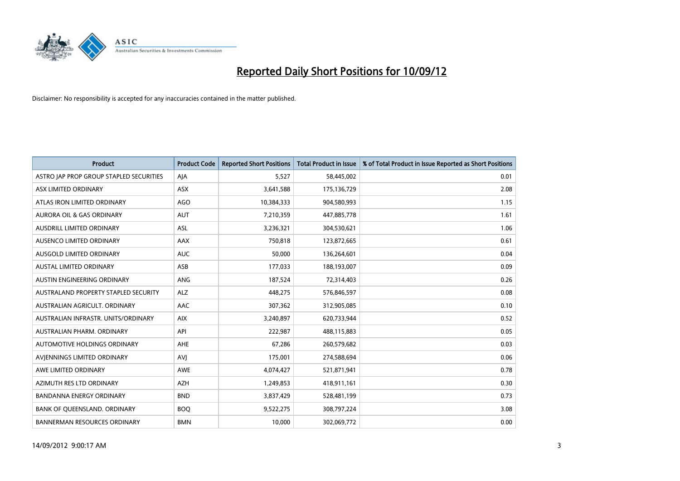

| <b>Product</b>                          | <b>Product Code</b> | <b>Reported Short Positions</b> | <b>Total Product in Issue</b> | % of Total Product in Issue Reported as Short Positions |
|-----------------------------------------|---------------------|---------------------------------|-------------------------------|---------------------------------------------------------|
| ASTRO JAP PROP GROUP STAPLED SECURITIES | AJA                 | 5,527                           | 58,445,002                    | 0.01                                                    |
| ASX LIMITED ORDINARY                    | <b>ASX</b>          | 3,641,588                       | 175,136,729                   | 2.08                                                    |
| ATLAS IRON LIMITED ORDINARY             | <b>AGO</b>          | 10,384,333                      | 904,580,993                   | 1.15                                                    |
| AURORA OIL & GAS ORDINARY               | <b>AUT</b>          | 7,210,359                       | 447,885,778                   | 1.61                                                    |
| AUSDRILL LIMITED ORDINARY               | ASL                 | 3,236,321                       | 304,530,621                   | 1.06                                                    |
| AUSENCO LIMITED ORDINARY                | <b>AAX</b>          | 750,818                         | 123,872,665                   | 0.61                                                    |
| AUSGOLD LIMITED ORDINARY                | <b>AUC</b>          | 50,000                          | 136,264,601                   | 0.04                                                    |
| AUSTAL LIMITED ORDINARY                 | ASB                 | 177,033                         | 188,193,007                   | 0.09                                                    |
| AUSTIN ENGINEERING ORDINARY             | <b>ANG</b>          | 187,524                         | 72,314,403                    | 0.26                                                    |
| AUSTRALAND PROPERTY STAPLED SECURITY    | <b>ALZ</b>          | 448,275                         | 576,846,597                   | 0.08                                                    |
| AUSTRALIAN AGRICULT. ORDINARY           | AAC                 | 307,362                         | 312,905,085                   | 0.10                                                    |
| AUSTRALIAN INFRASTR, UNITS/ORDINARY     | <b>AIX</b>          | 3,240,897                       | 620,733,944                   | 0.52                                                    |
| AUSTRALIAN PHARM. ORDINARY              | API                 | 222,987                         | 488,115,883                   | 0.05                                                    |
| AUTOMOTIVE HOLDINGS ORDINARY            | AHE                 | 67,286                          | 260,579,682                   | 0.03                                                    |
| AVIENNINGS LIMITED ORDINARY             | AVI                 | 175,001                         | 274,588,694                   | 0.06                                                    |
| AWE LIMITED ORDINARY                    | <b>AWE</b>          | 4,074,427                       | 521,871,941                   | 0.78                                                    |
| AZIMUTH RES LTD ORDINARY                | <b>AZH</b>          | 1,249,853                       | 418,911,161                   | 0.30                                                    |
| BANDANNA ENERGY ORDINARY                | <b>BND</b>          | 3,837,429                       | 528,481,199                   | 0.73                                                    |
| BANK OF QUEENSLAND. ORDINARY            | <b>BOQ</b>          | 9,522,275                       | 308,797,224                   | 3.08                                                    |
| <b>BANNERMAN RESOURCES ORDINARY</b>     | <b>BMN</b>          | 10,000                          | 302,069,772                   | 0.00                                                    |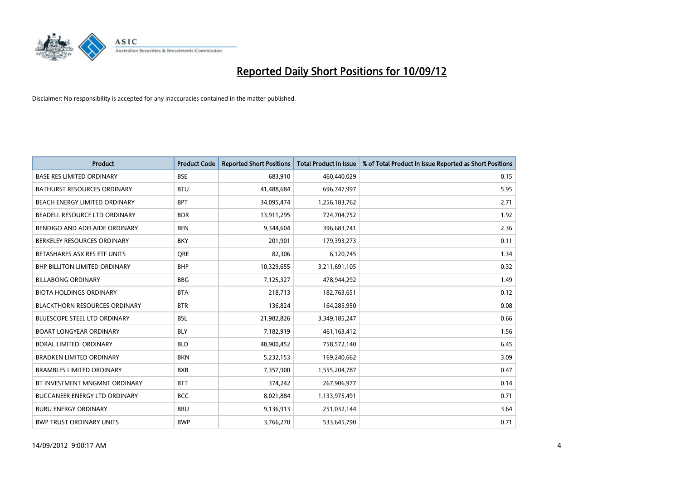

| <b>Product</b>                       | <b>Product Code</b> | <b>Reported Short Positions</b> | <b>Total Product in Issue</b> | % of Total Product in Issue Reported as Short Positions |
|--------------------------------------|---------------------|---------------------------------|-------------------------------|---------------------------------------------------------|
| <b>BASE RES LIMITED ORDINARY</b>     | <b>BSE</b>          | 683,910                         | 460,440,029                   | 0.15                                                    |
| BATHURST RESOURCES ORDINARY          | <b>BTU</b>          | 41,488,684                      | 696,747,997                   | 5.95                                                    |
| BEACH ENERGY LIMITED ORDINARY        | <b>BPT</b>          | 34,095,474                      | 1,256,183,762                 | 2.71                                                    |
| BEADELL RESOURCE LTD ORDINARY        | <b>BDR</b>          | 13,911,295                      | 724,704,752                   | 1.92                                                    |
| BENDIGO AND ADELAIDE ORDINARY        | <b>BEN</b>          | 9,344,604                       | 396,683,741                   | 2.36                                                    |
| BERKELEY RESOURCES ORDINARY          | <b>BKY</b>          | 201,901                         | 179,393,273                   | 0.11                                                    |
| BETASHARES ASX RES ETF UNITS         | <b>ORE</b>          | 82,306                          | 6,120,745                     | 1.34                                                    |
| <b>BHP BILLITON LIMITED ORDINARY</b> | <b>BHP</b>          | 10,329,655                      | 3,211,691,105                 | 0.32                                                    |
| <b>BILLABONG ORDINARY</b>            | <b>BBG</b>          | 7,125,327                       | 478,944,292                   | 1.49                                                    |
| <b>BIOTA HOLDINGS ORDINARY</b>       | <b>BTA</b>          | 218,713                         | 182,763,651                   | 0.12                                                    |
| <b>BLACKTHORN RESOURCES ORDINARY</b> | <b>BTR</b>          | 136,824                         | 164,285,950                   | 0.08                                                    |
| <b>BLUESCOPE STEEL LTD ORDINARY</b>  | <b>BSL</b>          | 21,982,826                      | 3,349,185,247                 | 0.66                                                    |
| <b>BOART LONGYEAR ORDINARY</b>       | <b>BLY</b>          | 7,182,919                       | 461,163,412                   | 1.56                                                    |
| <b>BORAL LIMITED, ORDINARY</b>       | <b>BLD</b>          | 48,900,452                      | 758,572,140                   | 6.45                                                    |
| <b>BRADKEN LIMITED ORDINARY</b>      | <b>BKN</b>          | 5,232,153                       | 169,240,662                   | 3.09                                                    |
| <b>BRAMBLES LIMITED ORDINARY</b>     | <b>BXB</b>          | 7,357,900                       | 1,555,204,787                 | 0.47                                                    |
| BT INVESTMENT MNGMNT ORDINARY        | <b>BTT</b>          | 374,242                         | 267,906,977                   | 0.14                                                    |
| BUCCANEER ENERGY LTD ORDINARY        | <b>BCC</b>          | 8,021,884                       | 1,133,975,491                 | 0.71                                                    |
| <b>BURU ENERGY ORDINARY</b>          | <b>BRU</b>          | 9,136,913                       | 251,032,144                   | 3.64                                                    |
| <b>BWP TRUST ORDINARY UNITS</b>      | <b>BWP</b>          | 3,766,270                       | 533,645,790                   | 0.71                                                    |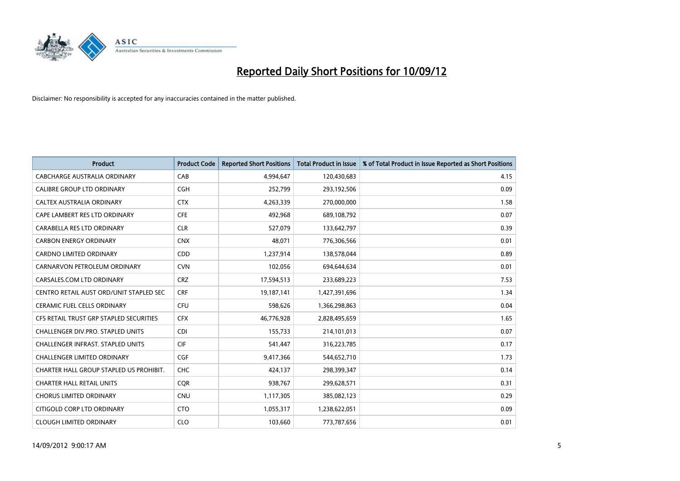

| <b>Product</b>                           | <b>Product Code</b> | <b>Reported Short Positions</b> | <b>Total Product in Issue</b> | % of Total Product in Issue Reported as Short Positions |
|------------------------------------------|---------------------|---------------------------------|-------------------------------|---------------------------------------------------------|
| CABCHARGE AUSTRALIA ORDINARY             | CAB                 | 4,994,647                       | 120,430,683                   | 4.15                                                    |
| CALIBRE GROUP LTD ORDINARY               | <b>CGH</b>          | 252,799                         | 293,192,506                   | 0.09                                                    |
| <b>CALTEX AUSTRALIA ORDINARY</b>         | <b>CTX</b>          | 4,263,339                       | 270,000,000                   | 1.58                                                    |
| CAPE LAMBERT RES LTD ORDINARY            | <b>CFE</b>          | 492,968                         | 689,108,792                   | 0.07                                                    |
| CARABELLA RES LTD ORDINARY               | <b>CLR</b>          | 527,079                         | 133,642,797                   | 0.39                                                    |
| <b>CARBON ENERGY ORDINARY</b>            | <b>CNX</b>          | 48,071                          | 776,306,566                   | 0.01                                                    |
| <b>CARDNO LIMITED ORDINARY</b>           | CDD                 | 1,237,914                       | 138,578,044                   | 0.89                                                    |
| CARNARVON PETROLEUM ORDINARY             | <b>CVN</b>          | 102,056                         | 694,644,634                   | 0.01                                                    |
| CARSALES.COM LTD ORDINARY                | <b>CRZ</b>          | 17,594,513                      | 233,689,223                   | 7.53                                                    |
| CENTRO RETAIL AUST ORD/UNIT STAPLED SEC  | <b>CRF</b>          | 19,187,141                      | 1,427,391,696                 | 1.34                                                    |
| CERAMIC FUEL CELLS ORDINARY              | <b>CFU</b>          | 598,626                         | 1,366,298,863                 | 0.04                                                    |
| CFS RETAIL TRUST GRP STAPLED SECURITIES  | <b>CFX</b>          | 46,776,928                      | 2,828,495,659                 | 1.65                                                    |
| <b>CHALLENGER DIV.PRO. STAPLED UNITS</b> | <b>CDI</b>          | 155,733                         | 214,101,013                   | 0.07                                                    |
| <b>CHALLENGER INFRAST, STAPLED UNITS</b> | <b>CIF</b>          | 541,447                         | 316,223,785                   | 0.17                                                    |
| <b>CHALLENGER LIMITED ORDINARY</b>       | <b>CGF</b>          | 9,417,366                       | 544,652,710                   | 1.73                                                    |
| CHARTER HALL GROUP STAPLED US PROHIBIT.  | <b>CHC</b>          | 424,137                         | 298,399,347                   | 0.14                                                    |
| <b>CHARTER HALL RETAIL UNITS</b>         | <b>COR</b>          | 938,767                         | 299,628,571                   | 0.31                                                    |
| <b>CHORUS LIMITED ORDINARY</b>           | <b>CNU</b>          | 1,117,305                       | 385,082,123                   | 0.29                                                    |
| CITIGOLD CORP LTD ORDINARY               | <b>CTO</b>          | 1,055,317                       | 1,238,622,051                 | 0.09                                                    |
| <b>CLOUGH LIMITED ORDINARY</b>           | <b>CLO</b>          | 103.660                         | 773,787,656                   | 0.01                                                    |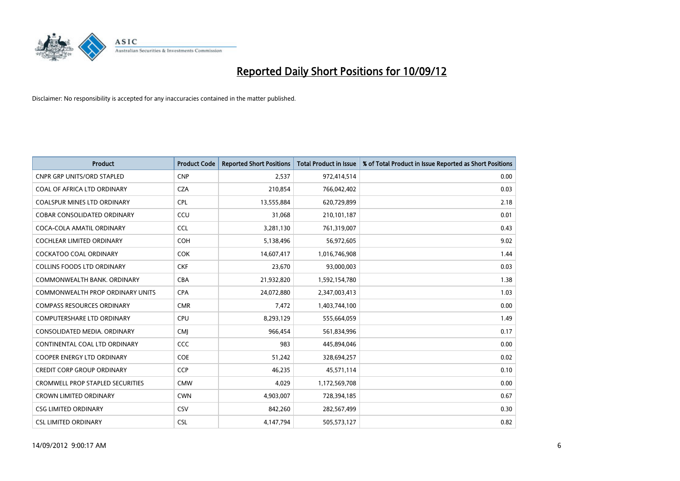

| <b>Product</b>                          | <b>Product Code</b> | <b>Reported Short Positions</b> | <b>Total Product in Issue</b> | % of Total Product in Issue Reported as Short Positions |
|-----------------------------------------|---------------------|---------------------------------|-------------------------------|---------------------------------------------------------|
| <b>CNPR GRP UNITS/ORD STAPLED</b>       | <b>CNP</b>          | 2,537                           | 972,414,514                   | 0.00                                                    |
| COAL OF AFRICA LTD ORDINARY             | <b>CZA</b>          | 210,854                         | 766,042,402                   | 0.03                                                    |
| <b>COALSPUR MINES LTD ORDINARY</b>      | <b>CPL</b>          | 13,555,884                      | 620,729,899                   | 2.18                                                    |
| COBAR CONSOLIDATED ORDINARY             | CCU                 | 31,068                          | 210,101,187                   | 0.01                                                    |
| COCA-COLA AMATIL ORDINARY               | <b>CCL</b>          | 3,281,130                       | 761,319,007                   | 0.43                                                    |
| <b>COCHLEAR LIMITED ORDINARY</b>        | <b>COH</b>          | 5,138,496                       | 56,972,605                    | 9.02                                                    |
| <b>COCKATOO COAL ORDINARY</b>           | <b>COK</b>          | 14,607,417                      | 1,016,746,908                 | 1.44                                                    |
| <b>COLLINS FOODS LTD ORDINARY</b>       | <b>CKF</b>          | 23,670                          | 93,000,003                    | 0.03                                                    |
| COMMONWEALTH BANK, ORDINARY             | <b>CBA</b>          | 21,932,820                      | 1,592,154,780                 | 1.38                                                    |
| <b>COMMONWEALTH PROP ORDINARY UNITS</b> | <b>CPA</b>          | 24,072,880                      | 2,347,003,413                 | 1.03                                                    |
| <b>COMPASS RESOURCES ORDINARY</b>       | <b>CMR</b>          | 7,472                           | 1,403,744,100                 | 0.00                                                    |
| <b>COMPUTERSHARE LTD ORDINARY</b>       | <b>CPU</b>          | 8,293,129                       | 555,664,059                   | 1.49                                                    |
| CONSOLIDATED MEDIA, ORDINARY            | <b>CMI</b>          | 966,454                         | 561,834,996                   | 0.17                                                    |
| CONTINENTAL COAL LTD ORDINARY           | CCC                 | 983                             | 445,894,046                   | 0.00                                                    |
| COOPER ENERGY LTD ORDINARY              | <b>COE</b>          | 51,242                          | 328,694,257                   | 0.02                                                    |
| <b>CREDIT CORP GROUP ORDINARY</b>       | <b>CCP</b>          | 46,235                          | 45,571,114                    | 0.10                                                    |
| <b>CROMWELL PROP STAPLED SECURITIES</b> | <b>CMW</b>          | 4,029                           | 1,172,569,708                 | 0.00                                                    |
| <b>CROWN LIMITED ORDINARY</b>           | <b>CWN</b>          | 4,903,007                       | 728,394,185                   | 0.67                                                    |
| <b>CSG LIMITED ORDINARY</b>             | CSV                 | 842,260                         | 282,567,499                   | 0.30                                                    |
| <b>CSL LIMITED ORDINARY</b>             | <b>CSL</b>          | 4,147,794                       | 505,573,127                   | 0.82                                                    |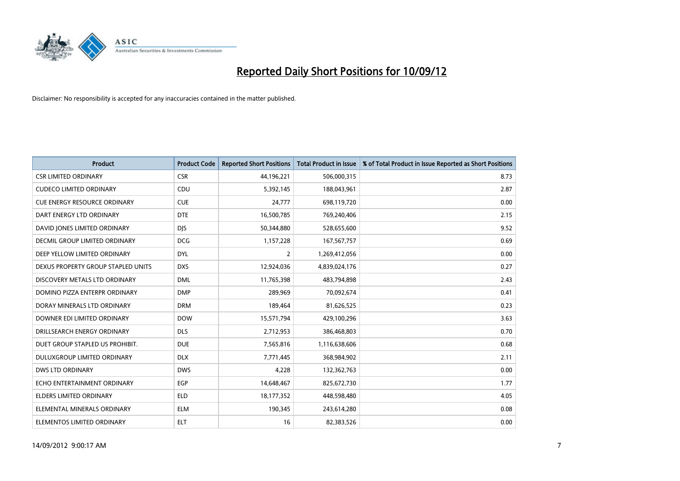

| <b>Product</b>                      | <b>Product Code</b> | <b>Reported Short Positions</b> | <b>Total Product in Issue</b> | % of Total Product in Issue Reported as Short Positions |
|-------------------------------------|---------------------|---------------------------------|-------------------------------|---------------------------------------------------------|
| <b>CSR LIMITED ORDINARY</b>         | <b>CSR</b>          | 44,196,221                      | 506,000,315                   | 8.73                                                    |
| <b>CUDECO LIMITED ORDINARY</b>      | CDU                 | 5,392,145                       | 188,043,961                   | 2.87                                                    |
| <b>CUE ENERGY RESOURCE ORDINARY</b> | <b>CUE</b>          | 24,777                          | 698,119,720                   | 0.00                                                    |
| DART ENERGY LTD ORDINARY            | <b>DTE</b>          | 16,500,785                      | 769,240,406                   | 2.15                                                    |
| DAVID JONES LIMITED ORDINARY        | <b>DIS</b>          | 50,344,880                      | 528,655,600                   | 9.52                                                    |
| DECMIL GROUP LIMITED ORDINARY       | <b>DCG</b>          | 1,157,228                       | 167,567,757                   | 0.69                                                    |
| DEEP YELLOW LIMITED ORDINARY        | <b>DYL</b>          | 2                               | 1,269,412,056                 | 0.00                                                    |
| DEXUS PROPERTY GROUP STAPLED UNITS  | <b>DXS</b>          | 12,924,036                      | 4,839,024,176                 | 0.27                                                    |
| DISCOVERY METALS LTD ORDINARY       | <b>DML</b>          | 11,765,398                      | 483,794,898                   | 2.43                                                    |
| DOMINO PIZZA ENTERPR ORDINARY       | <b>DMP</b>          | 289,969                         | 70,092,674                    | 0.41                                                    |
| DORAY MINERALS LTD ORDINARY         | <b>DRM</b>          | 189,464                         | 81,626,525                    | 0.23                                                    |
| DOWNER EDI LIMITED ORDINARY         | <b>DOW</b>          | 15,571,794                      | 429,100,296                   | 3.63                                                    |
| DRILLSEARCH ENERGY ORDINARY         | <b>DLS</b>          | 2,712,953                       | 386,468,803                   | 0.70                                                    |
| DUET GROUP STAPLED US PROHIBIT.     | <b>DUE</b>          | 7,565,816                       | 1,116,638,606                 | 0.68                                                    |
| DULUXGROUP LIMITED ORDINARY         | <b>DLX</b>          | 7,771,445                       | 368,984,902                   | 2.11                                                    |
| DWS LTD ORDINARY                    | <b>DWS</b>          | 4,228                           | 132,362,763                   | 0.00                                                    |
| ECHO ENTERTAINMENT ORDINARY         | <b>EGP</b>          | 14,648,467                      | 825,672,730                   | 1.77                                                    |
| ELDERS LIMITED ORDINARY             | <b>ELD</b>          | 18,177,352                      | 448,598,480                   | 4.05                                                    |
| ELEMENTAL MINERALS ORDINARY         | <b>ELM</b>          | 190,345                         | 243,614,280                   | 0.08                                                    |
| ELEMENTOS LIMITED ORDINARY          | <b>ELT</b>          | 16                              | 82,383,526                    | 0.00                                                    |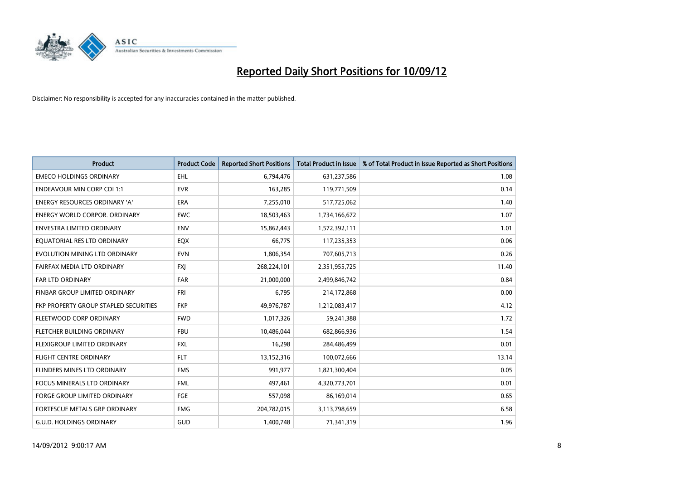

| <b>Product</b>                        | <b>Product Code</b> | <b>Reported Short Positions</b> | <b>Total Product in Issue</b> | % of Total Product in Issue Reported as Short Positions |
|---------------------------------------|---------------------|---------------------------------|-------------------------------|---------------------------------------------------------|
| <b>EMECO HOLDINGS ORDINARY</b>        | <b>EHL</b>          | 6,794,476                       | 631,237,586                   | 1.08                                                    |
| <b>ENDEAVOUR MIN CORP CDI 1:1</b>     | <b>EVR</b>          | 163,285                         | 119,771,509                   | 0.14                                                    |
| <b>ENERGY RESOURCES ORDINARY 'A'</b>  | <b>ERA</b>          | 7,255,010                       | 517,725,062                   | 1.40                                                    |
| <b>ENERGY WORLD CORPOR. ORDINARY</b>  | <b>EWC</b>          | 18,503,463                      | 1,734,166,672                 | 1.07                                                    |
| <b>ENVESTRA LIMITED ORDINARY</b>      | <b>ENV</b>          | 15,862,443                      | 1,572,392,111                 | 1.01                                                    |
| EQUATORIAL RES LTD ORDINARY           | <b>EQX</b>          | 66,775                          | 117,235,353                   | 0.06                                                    |
| EVOLUTION MINING LTD ORDINARY         | <b>EVN</b>          | 1,806,354                       | 707,605,713                   | 0.26                                                    |
| FAIRFAX MEDIA LTD ORDINARY            | <b>FXI</b>          | 268,224,101                     | 2,351,955,725                 | 11.40                                                   |
| <b>FAR LTD ORDINARY</b>               | <b>FAR</b>          | 21,000,000                      | 2,499,846,742                 | 0.84                                                    |
| FINBAR GROUP LIMITED ORDINARY         | <b>FRI</b>          | 6,795                           | 214,172,868                   | 0.00                                                    |
| FKP PROPERTY GROUP STAPLED SECURITIES | <b>FKP</b>          | 49,976,787                      | 1,212,083,417                 | 4.12                                                    |
| FLEETWOOD CORP ORDINARY               | <b>FWD</b>          | 1,017,326                       | 59,241,388                    | 1.72                                                    |
| FLETCHER BUILDING ORDINARY            | <b>FBU</b>          | 10,486,044                      | 682,866,936                   | 1.54                                                    |
| <b>FLEXIGROUP LIMITED ORDINARY</b>    | <b>FXL</b>          | 16,298                          | 284,486,499                   | 0.01                                                    |
| <b>FLIGHT CENTRE ORDINARY</b>         | <b>FLT</b>          | 13,152,316                      | 100,072,666                   | 13.14                                                   |
| FLINDERS MINES LTD ORDINARY           | <b>FMS</b>          | 991.977                         | 1,821,300,404                 | 0.05                                                    |
| <b>FOCUS MINERALS LTD ORDINARY</b>    | <b>FML</b>          | 497,461                         | 4,320,773,701                 | 0.01                                                    |
| FORGE GROUP LIMITED ORDINARY          | FGE                 | 557,098                         | 86,169,014                    | 0.65                                                    |
| FORTESCUE METALS GRP ORDINARY         | <b>FMG</b>          | 204,782,015                     | 3,113,798,659                 | 6.58                                                    |
| G.U.D. HOLDINGS ORDINARY              | GUD                 | 1,400,748                       | 71,341,319                    | 1.96                                                    |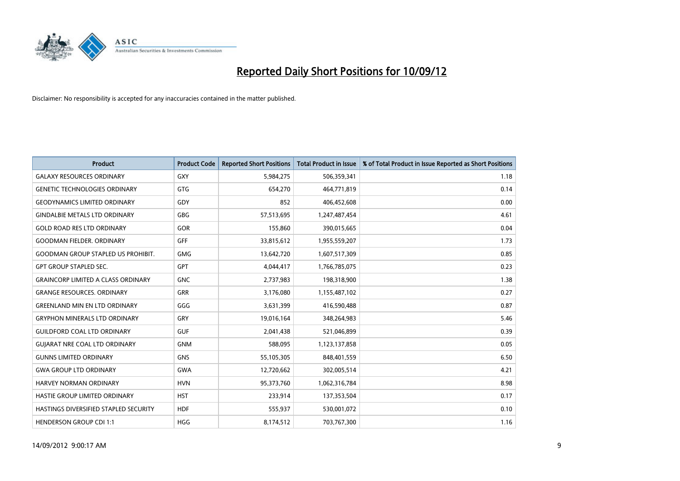

| <b>Product</b>                            | <b>Product Code</b> | <b>Reported Short Positions</b> | <b>Total Product in Issue</b> | % of Total Product in Issue Reported as Short Positions |
|-------------------------------------------|---------------------|---------------------------------|-------------------------------|---------------------------------------------------------|
| <b>GALAXY RESOURCES ORDINARY</b>          | GXY                 | 5,984,275                       | 506,359,341                   | 1.18                                                    |
| <b>GENETIC TECHNOLOGIES ORDINARY</b>      | GTG                 | 654,270                         | 464,771,819                   | 0.14                                                    |
| <b>GEODYNAMICS LIMITED ORDINARY</b>       | GDY                 | 852                             | 406,452,608                   | 0.00                                                    |
| <b>GINDALBIE METALS LTD ORDINARY</b>      | <b>GBG</b>          | 57,513,695                      | 1,247,487,454                 | 4.61                                                    |
| <b>GOLD ROAD RES LTD ORDINARY</b>         | GOR                 | 155,860                         | 390,015,665                   | 0.04                                                    |
| <b>GOODMAN FIELDER, ORDINARY</b>          | <b>GFF</b>          | 33,815,612                      | 1,955,559,207                 | 1.73                                                    |
| <b>GOODMAN GROUP STAPLED US PROHIBIT.</b> | <b>GMG</b>          | 13,642,720                      | 1,607,517,309                 | 0.85                                                    |
| <b>GPT GROUP STAPLED SEC.</b>             | GPT                 | 4,044,417                       | 1,766,785,075                 | 0.23                                                    |
| <b>GRAINCORP LIMITED A CLASS ORDINARY</b> | <b>GNC</b>          | 2,737,983                       | 198,318,900                   | 1.38                                                    |
| <b>GRANGE RESOURCES, ORDINARY</b>         | <b>GRR</b>          | 3,176,080                       | 1,155,487,102                 | 0.27                                                    |
| <b>GREENLAND MIN EN LTD ORDINARY</b>      | GGG                 | 3,631,399                       | 416,590,488                   | 0.87                                                    |
| <b>GRYPHON MINERALS LTD ORDINARY</b>      | GRY                 | 19,016,164                      | 348,264,983                   | 5.46                                                    |
| <b>GUILDFORD COAL LTD ORDINARY</b>        | <b>GUF</b>          | 2,041,438                       | 521,046,899                   | 0.39                                                    |
| <b>GUIARAT NRE COAL LTD ORDINARY</b>      | <b>GNM</b>          | 588,095                         | 1,123,137,858                 | 0.05                                                    |
| <b>GUNNS LIMITED ORDINARY</b>             | <b>GNS</b>          | 55,105,305                      | 848,401,559                   | 6.50                                                    |
| <b>GWA GROUP LTD ORDINARY</b>             | <b>GWA</b>          | 12,720,662                      | 302,005,514                   | 4.21                                                    |
| HARVEY NORMAN ORDINARY                    | <b>HVN</b>          | 95,373,760                      | 1,062,316,784                 | 8.98                                                    |
| <b>HASTIE GROUP LIMITED ORDINARY</b>      | <b>HST</b>          | 233,914                         | 137,353,504                   | 0.17                                                    |
| HASTINGS DIVERSIFIED STAPLED SECURITY     | <b>HDF</b>          | 555,937                         | 530,001,072                   | 0.10                                                    |
| <b>HENDERSON GROUP CDI 1:1</b>            | <b>HGG</b>          | 8,174,512                       | 703,767,300                   | 1.16                                                    |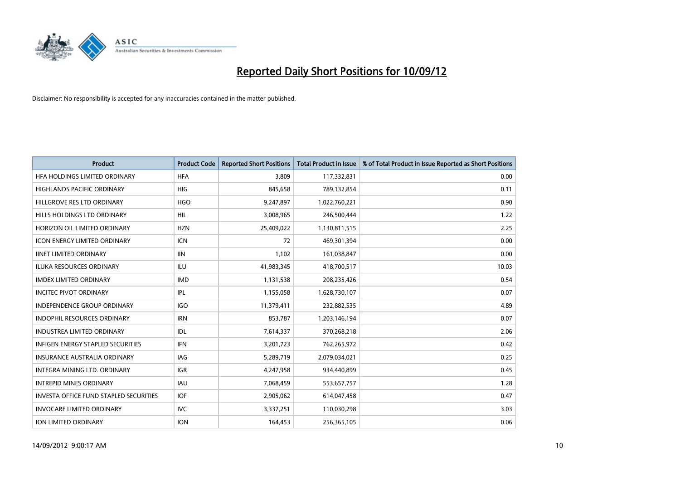

| <b>Product</b>                                | <b>Product Code</b> | <b>Reported Short Positions</b> | <b>Total Product in Issue</b> | % of Total Product in Issue Reported as Short Positions |
|-----------------------------------------------|---------------------|---------------------------------|-------------------------------|---------------------------------------------------------|
| HFA HOLDINGS LIMITED ORDINARY                 | <b>HFA</b>          | 3,809                           | 117,332,831                   | 0.00                                                    |
| HIGHLANDS PACIFIC ORDINARY                    | <b>HIG</b>          | 845,658                         | 789,132,854                   | 0.11                                                    |
| HILLGROVE RES LTD ORDINARY                    | <b>HGO</b>          | 9,247,897                       | 1,022,760,221                 | 0.90                                                    |
| HILLS HOLDINGS LTD ORDINARY                   | <b>HIL</b>          | 3,008,965                       | 246,500,444                   | 1.22                                                    |
| HORIZON OIL LIMITED ORDINARY                  | <b>HZN</b>          | 25,409,022                      | 1,130,811,515                 | 2.25                                                    |
| <b>ICON ENERGY LIMITED ORDINARY</b>           | <b>ICN</b>          | 72                              | 469,301,394                   | 0.00                                                    |
| <b>IINET LIMITED ORDINARY</b>                 | <b>IIN</b>          | 1,102                           | 161,038,847                   | 0.00                                                    |
| ILUKA RESOURCES ORDINARY                      | ILU                 | 41,983,345                      | 418,700,517                   | 10.03                                                   |
| <b>IMDEX LIMITED ORDINARY</b>                 | <b>IMD</b>          | 1,131,538                       | 208,235,426                   | 0.54                                                    |
| <b>INCITEC PIVOT ORDINARY</b>                 | <b>IPL</b>          | 1,155,058                       | 1,628,730,107                 | 0.07                                                    |
| INDEPENDENCE GROUP ORDINARY                   | <b>IGO</b>          | 11,379,411                      | 232,882,535                   | 4.89                                                    |
| <b>INDOPHIL RESOURCES ORDINARY</b>            | <b>IRN</b>          | 853,787                         | 1,203,146,194                 | 0.07                                                    |
| INDUSTREA LIMITED ORDINARY                    | IDL                 | 7,614,337                       | 370,268,218                   | 2.06                                                    |
| <b>INFIGEN ENERGY STAPLED SECURITIES</b>      | <b>IFN</b>          | 3,201,723                       | 762,265,972                   | 0.42                                                    |
| <b>INSURANCE AUSTRALIA ORDINARY</b>           | IAG                 | 5,289,719                       | 2,079,034,021                 | 0.25                                                    |
| INTEGRA MINING LTD. ORDINARY                  | <b>IGR</b>          | 4,247,958                       | 934,440,899                   | 0.45                                                    |
| <b>INTREPID MINES ORDINARY</b>                | <b>IAU</b>          | 7,068,459                       | 553,657,757                   | 1.28                                                    |
| <b>INVESTA OFFICE FUND STAPLED SECURITIES</b> | <b>IOF</b>          | 2,905,062                       | 614,047,458                   | 0.47                                                    |
| <b>INVOCARE LIMITED ORDINARY</b>              | IVC                 | 3,337,251                       | 110,030,298                   | 3.03                                                    |
| <b>ION LIMITED ORDINARY</b>                   | <b>ION</b>          | 164,453                         | 256,365,105                   | 0.06                                                    |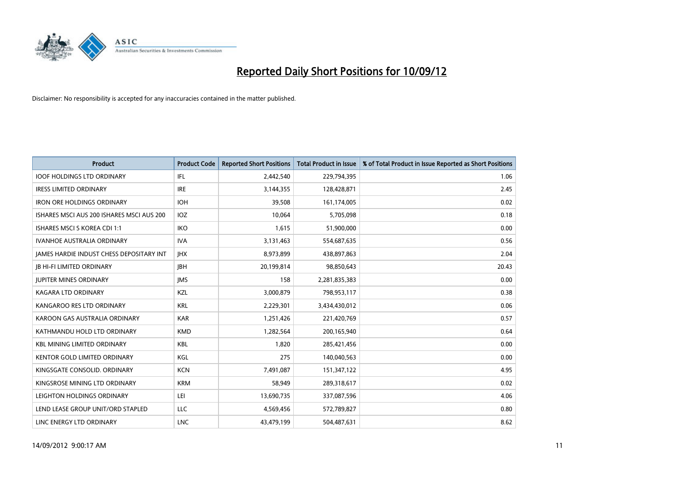

| <b>Product</b>                                  | <b>Product Code</b> | <b>Reported Short Positions</b> | <b>Total Product in Issue</b> | % of Total Product in Issue Reported as Short Positions |
|-------------------------------------------------|---------------------|---------------------------------|-------------------------------|---------------------------------------------------------|
| <b>IOOF HOLDINGS LTD ORDINARY</b>               | IFL                 | 2,442,540                       | 229,794,395                   | 1.06                                                    |
| <b>IRESS LIMITED ORDINARY</b>                   | <b>IRE</b>          | 3,144,355                       | 128,428,871                   | 2.45                                                    |
| <b>IRON ORE HOLDINGS ORDINARY</b>               | <b>IOH</b>          | 39,508                          | 161,174,005                   | 0.02                                                    |
| ISHARES MSCI AUS 200 ISHARES MSCI AUS 200       | <b>IOZ</b>          | 10,064                          | 5,705,098                     | 0.18                                                    |
| <b>ISHARES MSCI S KOREA CDI 1:1</b>             | <b>IKO</b>          | 1,615                           | 51,900,000                    | 0.00                                                    |
| <b>IVANHOE AUSTRALIA ORDINARY</b>               | <b>IVA</b>          | 3,131,463                       | 554,687,635                   | 0.56                                                    |
| <b>JAMES HARDIE INDUST CHESS DEPOSITARY INT</b> | <b>IHX</b>          | 8,973,899                       | 438,897,863                   | 2.04                                                    |
| <b>JB HI-FI LIMITED ORDINARY</b>                | <b>IBH</b>          | 20,199,814                      | 98,850,643                    | 20.43                                                   |
| <b>JUPITER MINES ORDINARY</b>                   | <b>IMS</b>          | 158                             | 2,281,835,383                 | 0.00                                                    |
| <b>KAGARA LTD ORDINARY</b>                      | <b>KZL</b>          | 3,000,879                       | 798,953,117                   | 0.38                                                    |
| KANGAROO RES LTD ORDINARY                       | <b>KRL</b>          | 2,229,301                       | 3,434,430,012                 | 0.06                                                    |
| KAROON GAS AUSTRALIA ORDINARY                   | <b>KAR</b>          | 1,251,426                       | 221,420,769                   | 0.57                                                    |
| KATHMANDU HOLD LTD ORDINARY                     | <b>KMD</b>          | 1,282,564                       | 200,165,940                   | 0.64                                                    |
| <b>KBL MINING LIMITED ORDINARY</b>              | <b>KBL</b>          | 1,820                           | 285,421,456                   | 0.00                                                    |
| <b>KENTOR GOLD LIMITED ORDINARY</b>             | KGL                 | 275                             | 140,040,563                   | 0.00                                                    |
| KINGSGATE CONSOLID. ORDINARY                    | <b>KCN</b>          | 7,491,087                       | 151,347,122                   | 4.95                                                    |
| KINGSROSE MINING LTD ORDINARY                   | <b>KRM</b>          | 58,949                          | 289,318,617                   | 0.02                                                    |
| LEIGHTON HOLDINGS ORDINARY                      | LEI                 | 13,690,735                      | 337,087,596                   | 4.06                                                    |
| LEND LEASE GROUP UNIT/ORD STAPLED               | LLC                 | 4,569,456                       | 572,789,827                   | 0.80                                                    |
| LINC ENERGY LTD ORDINARY                        | <b>LNC</b>          | 43,479,199                      | 504.487.631                   | 8.62                                                    |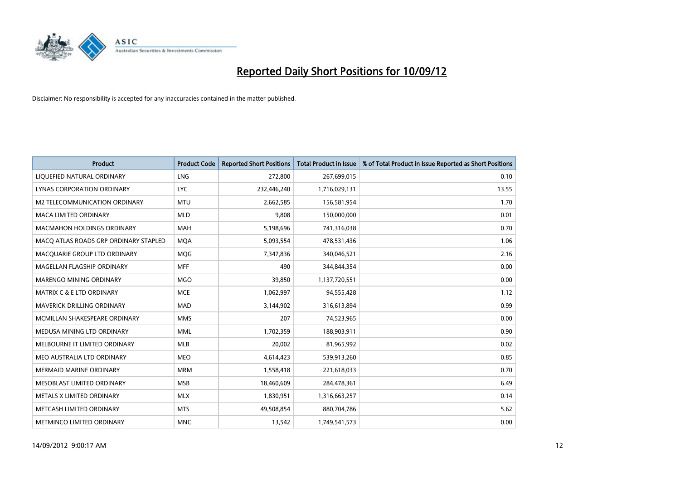

| <b>Product</b>                        | <b>Product Code</b> | <b>Reported Short Positions</b> | <b>Total Product in Issue</b> | % of Total Product in Issue Reported as Short Positions |
|---------------------------------------|---------------------|---------------------------------|-------------------------------|---------------------------------------------------------|
| LIQUEFIED NATURAL ORDINARY            | <b>LNG</b>          | 272,800                         | 267,699,015                   | 0.10                                                    |
| LYNAS CORPORATION ORDINARY            | <b>LYC</b>          | 232,446,240                     | 1,716,029,131                 | 13.55                                                   |
| M2 TELECOMMUNICATION ORDINARY         | <b>MTU</b>          | 2,662,585                       | 156,581,954                   | 1.70                                                    |
| MACA LIMITED ORDINARY                 | <b>MLD</b>          | 9,808                           | 150,000,000                   | 0.01                                                    |
| <b>MACMAHON HOLDINGS ORDINARY</b>     | <b>MAH</b>          | 5,198,696                       | 741,316,038                   | 0.70                                                    |
| MACQ ATLAS ROADS GRP ORDINARY STAPLED | <b>MOA</b>          | 5,093,554                       | 478,531,436                   | 1.06                                                    |
| MACQUARIE GROUP LTD ORDINARY          | <b>MOG</b>          | 7,347,836                       | 340,046,521                   | 2.16                                                    |
| MAGELLAN FLAGSHIP ORDINARY            | <b>MFF</b>          | 490                             | 344,844,354                   | 0.00                                                    |
| <b>MARENGO MINING ORDINARY</b>        | <b>MGO</b>          | 39,850                          | 1,137,720,551                 | 0.00                                                    |
| <b>MATRIX C &amp; E LTD ORDINARY</b>  | <b>MCE</b>          | 1,062,997                       | 94,555,428                    | 1.12                                                    |
| MAVERICK DRILLING ORDINARY            | <b>MAD</b>          | 3,144,902                       | 316,613,894                   | 0.99                                                    |
| MCMILLAN SHAKESPEARE ORDINARY         | <b>MMS</b>          | 207                             | 74,523,965                    | 0.00                                                    |
| MEDUSA MINING LTD ORDINARY            | <b>MML</b>          | 1,702,359                       | 188,903,911                   | 0.90                                                    |
| MELBOURNE IT LIMITED ORDINARY         | <b>MLB</b>          | 20,002                          | 81,965,992                    | 0.02                                                    |
| MEO AUSTRALIA LTD ORDINARY            | <b>MEO</b>          | 4,614,423                       | 539,913,260                   | 0.85                                                    |
| <b>MERMAID MARINE ORDINARY</b>        | <b>MRM</b>          | 1,558,418                       | 221,618,033                   | 0.70                                                    |
| MESOBLAST LIMITED ORDINARY            | <b>MSB</b>          | 18,460,609                      | 284,478,361                   | 6.49                                                    |
| METALS X LIMITED ORDINARY             | <b>MLX</b>          | 1,830,951                       | 1,316,663,257                 | 0.14                                                    |
| METCASH LIMITED ORDINARY              | <b>MTS</b>          | 49,508,854                      | 880,704,786                   | 5.62                                                    |
| METMINCO LIMITED ORDINARY             | <b>MNC</b>          | 13,542                          | 1,749,541,573                 | 0.00                                                    |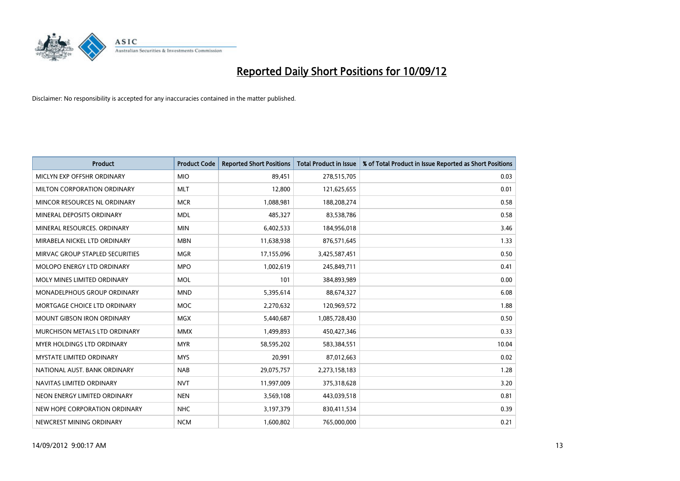

| <b>Product</b>                     | <b>Product Code</b> | <b>Reported Short Positions</b> | <b>Total Product in Issue</b> | % of Total Product in Issue Reported as Short Positions |
|------------------------------------|---------------------|---------------------------------|-------------------------------|---------------------------------------------------------|
| MICLYN EXP OFFSHR ORDINARY         | <b>MIO</b>          | 89,451                          | 278,515,705                   | 0.03                                                    |
| MILTON CORPORATION ORDINARY        | <b>MLT</b>          | 12,800                          | 121,625,655                   | 0.01                                                    |
| MINCOR RESOURCES NL ORDINARY       | <b>MCR</b>          | 1,088,981                       | 188,208,274                   | 0.58                                                    |
| MINERAL DEPOSITS ORDINARY          | <b>MDL</b>          | 485,327                         | 83,538,786                    | 0.58                                                    |
| MINERAL RESOURCES, ORDINARY        | <b>MIN</b>          | 6,402,533                       | 184,956,018                   | 3.46                                                    |
| MIRABELA NICKEL LTD ORDINARY       | <b>MBN</b>          | 11,638,938                      | 876,571,645                   | 1.33                                                    |
| MIRVAC GROUP STAPLED SECURITIES    | <b>MGR</b>          | 17,155,096                      | 3,425,587,451                 | 0.50                                                    |
| MOLOPO ENERGY LTD ORDINARY         | <b>MPO</b>          | 1,002,619                       | 245,849,711                   | 0.41                                                    |
| MOLY MINES LIMITED ORDINARY        | <b>MOL</b>          | 101                             | 384,893,989                   | 0.00                                                    |
| <b>MONADELPHOUS GROUP ORDINARY</b> | <b>MND</b>          | 5,395,614                       | 88,674,327                    | 6.08                                                    |
| MORTGAGE CHOICE LTD ORDINARY       | <b>MOC</b>          | 2,270,632                       | 120,969,572                   | 1.88                                                    |
| <b>MOUNT GIBSON IRON ORDINARY</b>  | <b>MGX</b>          | 5,440,687                       | 1,085,728,430                 | 0.50                                                    |
| MURCHISON METALS LTD ORDINARY      | <b>MMX</b>          | 1,499,893                       | 450,427,346                   | 0.33                                                    |
| <b>MYER HOLDINGS LTD ORDINARY</b>  | <b>MYR</b>          | 58,595,202                      | 583,384,551                   | 10.04                                                   |
| <b>MYSTATE LIMITED ORDINARY</b>    | <b>MYS</b>          | 20,991                          | 87,012,663                    | 0.02                                                    |
| NATIONAL AUST. BANK ORDINARY       | <b>NAB</b>          | 29,075,757                      | 2,273,158,183                 | 1.28                                                    |
| NAVITAS LIMITED ORDINARY           | <b>NVT</b>          | 11,997,009                      | 375,318,628                   | 3.20                                                    |
| NEON ENERGY LIMITED ORDINARY       | <b>NEN</b>          | 3,569,108                       | 443,039,518                   | 0.81                                                    |
| NEW HOPE CORPORATION ORDINARY      | <b>NHC</b>          | 3,197,379                       | 830,411,534                   | 0.39                                                    |
| NEWCREST MINING ORDINARY           | <b>NCM</b>          | 1,600,802                       | 765,000,000                   | 0.21                                                    |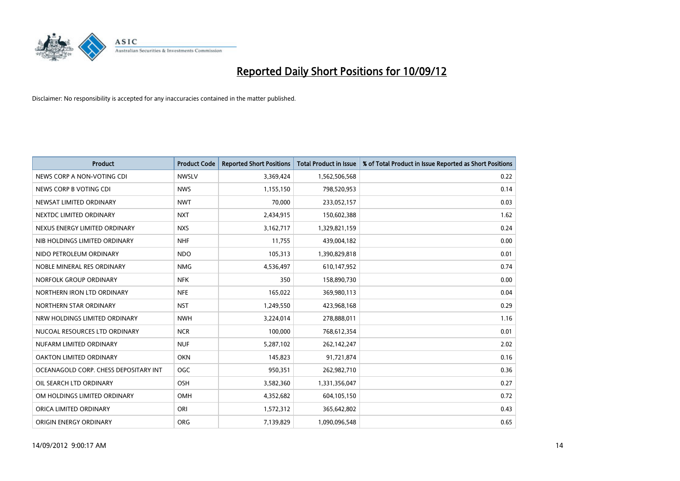

| <b>Product</b>                        | <b>Product Code</b> | <b>Reported Short Positions</b> | <b>Total Product in Issue</b> | % of Total Product in Issue Reported as Short Positions |
|---------------------------------------|---------------------|---------------------------------|-------------------------------|---------------------------------------------------------|
| NEWS CORP A NON-VOTING CDI            | <b>NWSLV</b>        | 3,369,424                       | 1,562,506,568                 | 0.22                                                    |
| NEWS CORP B VOTING CDI                | <b>NWS</b>          | 1,155,150                       | 798,520,953                   | 0.14                                                    |
| NEWSAT LIMITED ORDINARY               | <b>NWT</b>          | 70,000                          | 233,052,157                   | 0.03                                                    |
| NEXTDC LIMITED ORDINARY               | <b>NXT</b>          | 2,434,915                       | 150,602,388                   | 1.62                                                    |
| NEXUS ENERGY LIMITED ORDINARY         | <b>NXS</b>          | 3,162,717                       | 1,329,821,159                 | 0.24                                                    |
| NIB HOLDINGS LIMITED ORDINARY         | <b>NHF</b>          | 11,755                          | 439,004,182                   | 0.00                                                    |
| NIDO PETROLEUM ORDINARY               | <b>NDO</b>          | 105,313                         | 1,390,829,818                 | 0.01                                                    |
| NOBLE MINERAL RES ORDINARY            | <b>NMG</b>          | 4,536,497                       | 610,147,952                   | 0.74                                                    |
| NORFOLK GROUP ORDINARY                | <b>NFK</b>          | 350                             | 158,890,730                   | 0.00                                                    |
| NORTHERN IRON LTD ORDINARY            | <b>NFE</b>          | 165,022                         | 369,980,113                   | 0.04                                                    |
| NORTHERN STAR ORDINARY                | <b>NST</b>          | 1,249,550                       | 423,968,168                   | 0.29                                                    |
| NRW HOLDINGS LIMITED ORDINARY         | <b>NWH</b>          | 3,224,014                       | 278,888,011                   | 1.16                                                    |
| NUCOAL RESOURCES LTD ORDINARY         | <b>NCR</b>          | 100,000                         | 768,612,354                   | 0.01                                                    |
| NUFARM LIMITED ORDINARY               | <b>NUF</b>          | 5,287,102                       | 262,142,247                   | 2.02                                                    |
| <b>OAKTON LIMITED ORDINARY</b>        | <b>OKN</b>          | 145,823                         | 91,721,874                    | 0.16                                                    |
| OCEANAGOLD CORP. CHESS DEPOSITARY INT | OGC                 | 950,351                         | 262,982,710                   | 0.36                                                    |
| OIL SEARCH LTD ORDINARY               | <b>OSH</b>          | 3,582,360                       | 1,331,356,047                 | 0.27                                                    |
| OM HOLDINGS LIMITED ORDINARY          | OMH                 | 4,352,682                       | 604,105,150                   | 0.72                                                    |
| ORICA LIMITED ORDINARY                | ORI                 | 1,572,312                       | 365,642,802                   | 0.43                                                    |
| ORIGIN ENERGY ORDINARY                | <b>ORG</b>          | 7,139,829                       | 1.090.096.548                 | 0.65                                                    |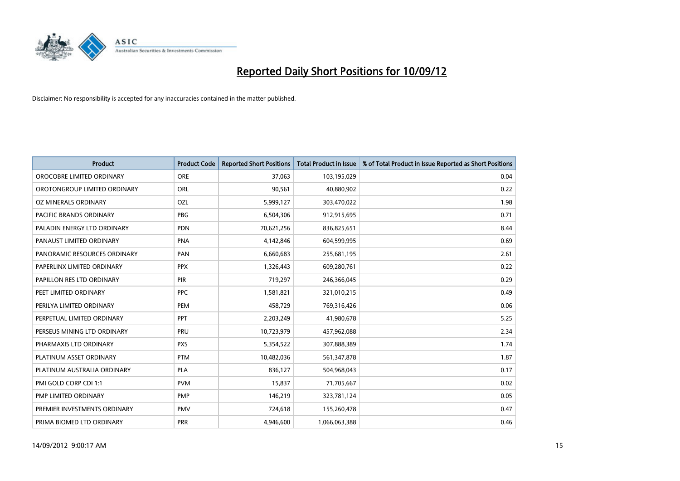

| <b>Product</b>               | <b>Product Code</b> | <b>Reported Short Positions</b> | <b>Total Product in Issue</b> | % of Total Product in Issue Reported as Short Positions |
|------------------------------|---------------------|---------------------------------|-------------------------------|---------------------------------------------------------|
| OROCOBRE LIMITED ORDINARY    | <b>ORE</b>          | 37,063                          | 103,195,029                   | 0.04                                                    |
| OROTONGROUP LIMITED ORDINARY | ORL                 | 90,561                          | 40,880,902                    | 0.22                                                    |
| OZ MINERALS ORDINARY         | OZL                 | 5,999,127                       | 303,470,022                   | 1.98                                                    |
| PACIFIC BRANDS ORDINARY      | <b>PBG</b>          | 6,504,306                       | 912,915,695                   | 0.71                                                    |
| PALADIN ENERGY LTD ORDINARY  | <b>PDN</b>          | 70,621,256                      | 836,825,651                   | 8.44                                                    |
| PANAUST LIMITED ORDINARY     | <b>PNA</b>          | 4,142,846                       | 604,599,995                   | 0.69                                                    |
| PANORAMIC RESOURCES ORDINARY | PAN                 | 6,660,683                       | 255,681,195                   | 2.61                                                    |
| PAPERLINX LIMITED ORDINARY   | <b>PPX</b>          | 1,326,443                       | 609,280,761                   | 0.22                                                    |
| PAPILLON RES LTD ORDINARY    | <b>PIR</b>          | 719,297                         | 246,366,045                   | 0.29                                                    |
| PEET LIMITED ORDINARY        | <b>PPC</b>          | 1,581,821                       | 321,010,215                   | 0.49                                                    |
| PERILYA LIMITED ORDINARY     | PEM                 | 458,729                         | 769,316,426                   | 0.06                                                    |
| PERPETUAL LIMITED ORDINARY   | PPT                 | 2,203,249                       | 41,980,678                    | 5.25                                                    |
| PERSEUS MINING LTD ORDINARY  | PRU                 | 10,723,979                      | 457,962,088                   | 2.34                                                    |
| PHARMAXIS LTD ORDINARY       | <b>PXS</b>          | 5,354,522                       | 307,888,389                   | 1.74                                                    |
| PLATINUM ASSET ORDINARY      | <b>PTM</b>          | 10,482,036                      | 561,347,878                   | 1.87                                                    |
| PLATINUM AUSTRALIA ORDINARY  | <b>PLA</b>          | 836,127                         | 504,968,043                   | 0.17                                                    |
| PMI GOLD CORP CDI 1:1        | <b>PVM</b>          | 15,837                          | 71,705,667                    | 0.02                                                    |
| PMP LIMITED ORDINARY         | <b>PMP</b>          | 146,219                         | 323,781,124                   | 0.05                                                    |
| PREMIER INVESTMENTS ORDINARY | <b>PMV</b>          | 724,618                         | 155,260,478                   | 0.47                                                    |
| PRIMA BIOMED LTD ORDINARY    | <b>PRR</b>          | 4,946,600                       | 1,066,063,388                 | 0.46                                                    |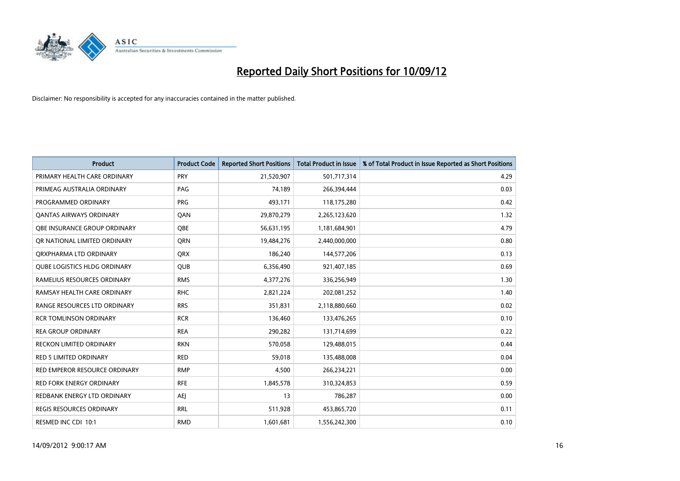

| <b>Product</b>                      | <b>Product Code</b> | <b>Reported Short Positions</b> | <b>Total Product in Issue</b> | % of Total Product in Issue Reported as Short Positions |
|-------------------------------------|---------------------|---------------------------------|-------------------------------|---------------------------------------------------------|
| PRIMARY HEALTH CARE ORDINARY        | <b>PRY</b>          | 21,520,907                      | 501,717,314                   | 4.29                                                    |
| PRIMEAG AUSTRALIA ORDINARY          | PAG                 | 74,189                          | 266,394,444                   | 0.03                                                    |
| PROGRAMMED ORDINARY                 | <b>PRG</b>          | 493,171                         | 118,175,280                   | 0.42                                                    |
| <b>QANTAS AIRWAYS ORDINARY</b>      | QAN                 | 29,870,279                      | 2,265,123,620                 | 1.32                                                    |
| <b>OBE INSURANCE GROUP ORDINARY</b> | <b>OBE</b>          | 56,631,195                      | 1,181,684,901                 | 4.79                                                    |
| OR NATIONAL LIMITED ORDINARY        | <b>ORN</b>          | 19,484,276                      | 2,440,000,000                 | 0.80                                                    |
| ORXPHARMA LTD ORDINARY              | <b>QRX</b>          | 186,240                         | 144,577,206                   | 0.13                                                    |
| <b>QUBE LOGISTICS HLDG ORDINARY</b> | <b>QUB</b>          | 6,356,490                       | 921,407,185                   | 0.69                                                    |
| RAMELIUS RESOURCES ORDINARY         | <b>RMS</b>          | 4,377,276                       | 336,256,949                   | 1.30                                                    |
| RAMSAY HEALTH CARE ORDINARY         | <b>RHC</b>          | 2,821,224                       | 202,081,252                   | 1.40                                                    |
| RANGE RESOURCES LTD ORDINARY        | <b>RRS</b>          | 351,831                         | 2,118,880,660                 | 0.02                                                    |
| <b>RCR TOMLINSON ORDINARY</b>       | <b>RCR</b>          | 136,460                         | 133,476,265                   | 0.10                                                    |
| <b>REA GROUP ORDINARY</b>           | <b>REA</b>          | 290,282                         | 131,714,699                   | 0.22                                                    |
| <b>RECKON LIMITED ORDINARY</b>      | <b>RKN</b>          | 570,058                         | 129,488,015                   | 0.44                                                    |
| <b>RED 5 LIMITED ORDINARY</b>       | <b>RED</b>          | 59,018                          | 135,488,008                   | 0.04                                                    |
| RED EMPEROR RESOURCE ORDINARY       | <b>RMP</b>          | 4,500                           | 266,234,221                   | 0.00                                                    |
| RED FORK ENERGY ORDINARY            | <b>RFE</b>          | 1,845,578                       | 310,324,853                   | 0.59                                                    |
| REDBANK ENERGY LTD ORDINARY         | AEJ                 | 13                              | 786,287                       | 0.00                                                    |
| <b>REGIS RESOURCES ORDINARY</b>     | <b>RRL</b>          | 511,928                         | 453,865,720                   | 0.11                                                    |
| RESMED INC CDI 10:1                 | <b>RMD</b>          | 1,601,681                       | 1,556,242,300                 | 0.10                                                    |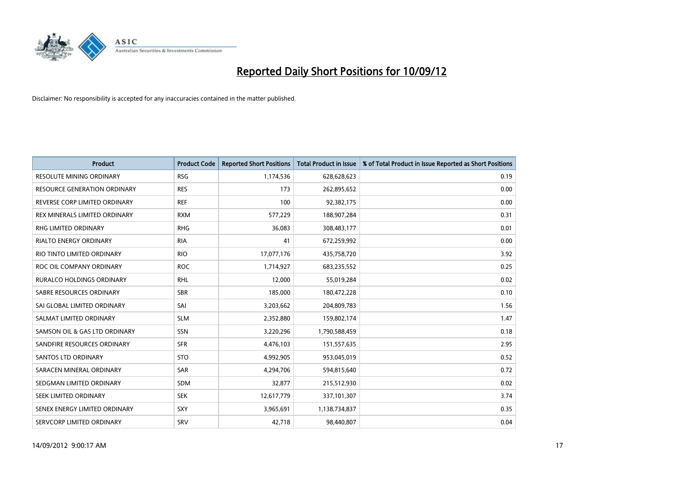

| <b>Product</b>                   | <b>Product Code</b> | <b>Reported Short Positions</b> | <b>Total Product in Issue</b> | % of Total Product in Issue Reported as Short Positions |
|----------------------------------|---------------------|---------------------------------|-------------------------------|---------------------------------------------------------|
| <b>RESOLUTE MINING ORDINARY</b>  | <b>RSG</b>          | 1,174,536                       | 628,628,623                   | 0.19                                                    |
| RESOURCE GENERATION ORDINARY     | <b>RES</b>          | 173                             | 262,895,652                   | 0.00                                                    |
| REVERSE CORP LIMITED ORDINARY    | <b>REF</b>          | 100                             | 92,382,175                    | 0.00                                                    |
| REX MINERALS LIMITED ORDINARY    | <b>RXM</b>          | 577,229                         | 188,907,284                   | 0.31                                                    |
| <b>RHG LIMITED ORDINARY</b>      | <b>RHG</b>          | 36,083                          | 308,483,177                   | 0.01                                                    |
| <b>RIALTO ENERGY ORDINARY</b>    | <b>RIA</b>          | 41                              | 672,259,992                   | 0.00                                                    |
| RIO TINTO LIMITED ORDINARY       | <b>RIO</b>          | 17,077,176                      | 435,758,720                   | 3.92                                                    |
| ROC OIL COMPANY ORDINARY         | <b>ROC</b>          | 1,714,927                       | 683,235,552                   | 0.25                                                    |
| <b>RURALCO HOLDINGS ORDINARY</b> | <b>RHL</b>          | 12,000                          | 55,019,284                    | 0.02                                                    |
| SABRE RESOURCES ORDINARY         | <b>SBR</b>          | 185,000                         | 180,472,228                   | 0.10                                                    |
| SAI GLOBAL LIMITED ORDINARY      | SAI                 | 3,203,662                       | 204,809,783                   | 1.56                                                    |
| SALMAT LIMITED ORDINARY          | <b>SLM</b>          | 2,352,880                       | 159,802,174                   | 1.47                                                    |
| SAMSON OIL & GAS LTD ORDINARY    | SSN                 | 3,220,296                       | 1,790,588,459                 | 0.18                                                    |
| SANDFIRE RESOURCES ORDINARY      | <b>SFR</b>          | 4,476,103                       | 151,557,635                   | 2.95                                                    |
| SANTOS LTD ORDINARY              | <b>STO</b>          | 4,992,905                       | 953,045,019                   | 0.52                                                    |
| SARACEN MINERAL ORDINARY         | SAR                 | 4,294,706                       | 594,815,640                   | 0.72                                                    |
| SEDGMAN LIMITED ORDINARY         | <b>SDM</b>          | 32,877                          | 215,512,930                   | 0.02                                                    |
| SEEK LIMITED ORDINARY            | <b>SEK</b>          | 12,617,779                      | 337,101,307                   | 3.74                                                    |
| SENEX ENERGY LIMITED ORDINARY    | <b>SXY</b>          | 3,965,691                       | 1,138,734,837                 | 0.35                                                    |
| SERVCORP LIMITED ORDINARY        | SRV                 | 42,718                          | 98,440,807                    | 0.04                                                    |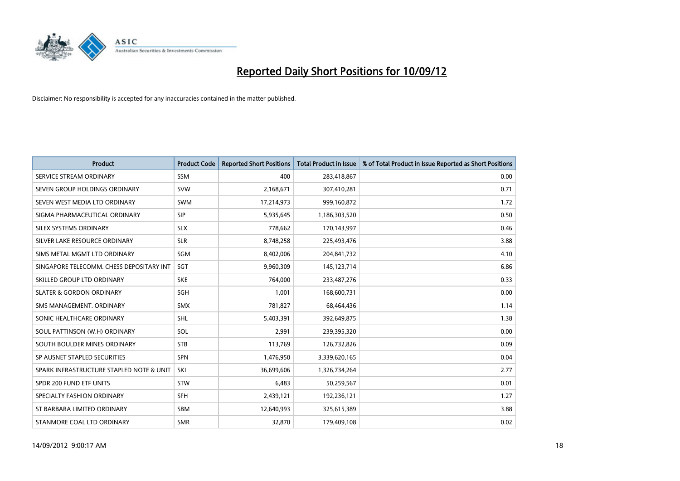

| <b>Product</b>                           | <b>Product Code</b> | <b>Reported Short Positions</b> | <b>Total Product in Issue</b> | % of Total Product in Issue Reported as Short Positions |
|------------------------------------------|---------------------|---------------------------------|-------------------------------|---------------------------------------------------------|
| SERVICE STREAM ORDINARY                  | <b>SSM</b>          | 400                             | 283,418,867                   | 0.00                                                    |
| SEVEN GROUP HOLDINGS ORDINARY            | <b>SVW</b>          | 2,168,671                       | 307,410,281                   | 0.71                                                    |
| SEVEN WEST MEDIA LTD ORDINARY            | <b>SWM</b>          | 17,214,973                      | 999,160,872                   | 1.72                                                    |
| SIGMA PHARMACEUTICAL ORDINARY            | <b>SIP</b>          | 5,935,645                       | 1,186,303,520                 | 0.50                                                    |
| SILEX SYSTEMS ORDINARY                   | <b>SLX</b>          | 778,662                         | 170,143,997                   | 0.46                                                    |
| SILVER LAKE RESOURCE ORDINARY            | <b>SLR</b>          | 8,748,258                       | 225,493,476                   | 3.88                                                    |
| SIMS METAL MGMT LTD ORDINARY             | SGM                 | 8,402,006                       | 204,841,732                   | 4.10                                                    |
| SINGAPORE TELECOMM. CHESS DEPOSITARY INT | <b>SGT</b>          | 9,960,309                       | 145, 123, 714                 | 6.86                                                    |
| SKILLED GROUP LTD ORDINARY               | <b>SKE</b>          | 764,000                         | 233,487,276                   | 0.33                                                    |
| <b>SLATER &amp; GORDON ORDINARY</b>      | <b>SGH</b>          | 1,001                           | 168,600,731                   | 0.00                                                    |
| SMS MANAGEMENT. ORDINARY                 | <b>SMX</b>          | 781,827                         | 68,464,436                    | 1.14                                                    |
| SONIC HEALTHCARE ORDINARY                | <b>SHL</b>          | 5,403,391                       | 392,649,875                   | 1.38                                                    |
| SOUL PATTINSON (W.H) ORDINARY            | SOL                 | 2,991                           | 239,395,320                   | 0.00                                                    |
| SOUTH BOULDER MINES ORDINARY             | <b>STB</b>          | 113,769                         | 126,732,826                   | 0.09                                                    |
| SP AUSNET STAPLED SECURITIES             | <b>SPN</b>          | 1,476,950                       | 3,339,620,165                 | 0.04                                                    |
| SPARK INFRASTRUCTURE STAPLED NOTE & UNIT | SKI                 | 36,699,606                      | 1,326,734,264                 | 2.77                                                    |
| SPDR 200 FUND ETF UNITS                  | <b>STW</b>          | 6,483                           | 50,259,567                    | 0.01                                                    |
| SPECIALTY FASHION ORDINARY               | <b>SFH</b>          | 2,439,121                       | 192,236,121                   | 1.27                                                    |
| ST BARBARA LIMITED ORDINARY              | SBM                 | 12,640,993                      | 325,615,389                   | 3.88                                                    |
| STANMORE COAL LTD ORDINARY               | <b>SMR</b>          | 32,870                          | 179,409,108                   | 0.02                                                    |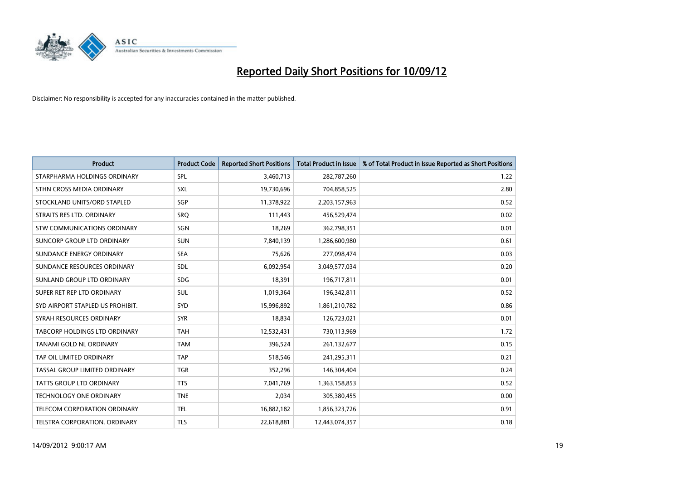

| <b>Product</b>                      | <b>Product Code</b> | <b>Reported Short Positions</b> | <b>Total Product in Issue</b> | % of Total Product in Issue Reported as Short Positions |
|-------------------------------------|---------------------|---------------------------------|-------------------------------|---------------------------------------------------------|
| STARPHARMA HOLDINGS ORDINARY        | SPL                 | 3,460,713                       | 282,787,260                   | 1.22                                                    |
| STHN CROSS MEDIA ORDINARY           | <b>SXL</b>          | 19,730,696                      | 704,858,525                   | 2.80                                                    |
| STOCKLAND UNITS/ORD STAPLED         | SGP                 | 11,378,922                      | 2,203,157,963                 | 0.52                                                    |
| STRAITS RES LTD. ORDINARY           | SRQ                 | 111,443                         | 456,529,474                   | 0.02                                                    |
| STW COMMUNICATIONS ORDINARY         | SGN                 | 18,269                          | 362,798,351                   | 0.01                                                    |
| SUNCORP GROUP LTD ORDINARY          | <b>SUN</b>          | 7,840,139                       | 1,286,600,980                 | 0.61                                                    |
| SUNDANCE ENERGY ORDINARY            | <b>SEA</b>          | 75,626                          | 277,098,474                   | 0.03                                                    |
| SUNDANCE RESOURCES ORDINARY         | <b>SDL</b>          | 6,092,954                       | 3,049,577,034                 | 0.20                                                    |
| SUNLAND GROUP LTD ORDINARY          | <b>SDG</b>          | 18,391                          | 196,717,811                   | 0.01                                                    |
| SUPER RET REP LTD ORDINARY          | <b>SUL</b>          | 1,019,364                       | 196,342,811                   | 0.52                                                    |
| SYD AIRPORT STAPLED US PROHIBIT.    | <b>SYD</b>          | 15,996,892                      | 1,861,210,782                 | 0.86                                                    |
| SYRAH RESOURCES ORDINARY            | <b>SYR</b>          | 18,834                          | 126,723,021                   | 0.01                                                    |
| TABCORP HOLDINGS LTD ORDINARY       | <b>TAH</b>          | 12,532,431                      | 730,113,969                   | 1.72                                                    |
| <b>TANAMI GOLD NL ORDINARY</b>      | <b>TAM</b>          | 396,524                         | 261,132,677                   | 0.15                                                    |
| TAP OIL LIMITED ORDINARY            | <b>TAP</b>          | 518,546                         | 241,295,311                   | 0.21                                                    |
| TASSAL GROUP LIMITED ORDINARY       | <b>TGR</b>          | 352,296                         | 146,304,404                   | 0.24                                                    |
| TATTS GROUP LTD ORDINARY            | <b>TTS</b>          | 7,041,769                       | 1,363,158,853                 | 0.52                                                    |
| TECHNOLOGY ONE ORDINARY             | <b>TNE</b>          | 2,034                           | 305,380,455                   | 0.00                                                    |
| <b>TELECOM CORPORATION ORDINARY</b> | <b>TEL</b>          | 16,882,182                      | 1,856,323,726                 | 0.91                                                    |
| TELSTRA CORPORATION. ORDINARY       | <b>TLS</b>          | 22,618,881                      | 12,443,074,357                | 0.18                                                    |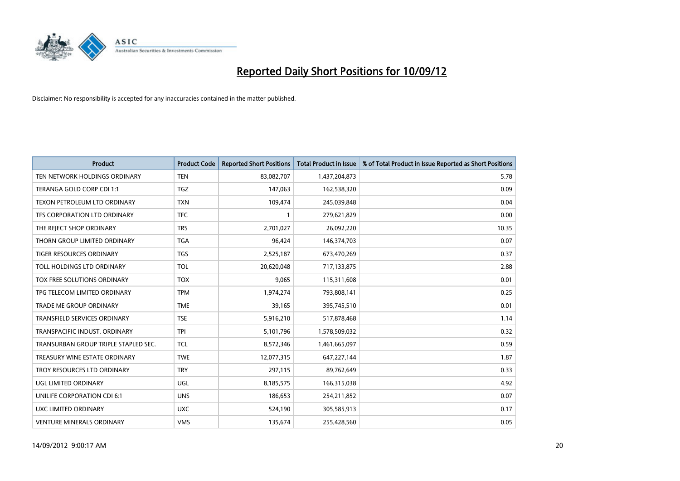

| <b>Product</b>                       | <b>Product Code</b> | <b>Reported Short Positions</b> | <b>Total Product in Issue</b> | % of Total Product in Issue Reported as Short Positions |
|--------------------------------------|---------------------|---------------------------------|-------------------------------|---------------------------------------------------------|
| TEN NETWORK HOLDINGS ORDINARY        | <b>TEN</b>          | 83,082,707                      | 1,437,204,873                 | 5.78                                                    |
| TERANGA GOLD CORP CDI 1:1            | <b>TGZ</b>          | 147,063                         | 162,538,320                   | 0.09                                                    |
| TEXON PETROLEUM LTD ORDINARY         | <b>TXN</b>          | 109,474                         | 245,039,848                   | 0.04                                                    |
| TFS CORPORATION LTD ORDINARY         | <b>TFC</b>          |                                 | 279,621,829                   | 0.00                                                    |
| THE REJECT SHOP ORDINARY             | <b>TRS</b>          | 2,701,027                       | 26,092,220                    | 10.35                                                   |
| THORN GROUP LIMITED ORDINARY         | <b>TGA</b>          | 96,424                          | 146,374,703                   | 0.07                                                    |
| <b>TIGER RESOURCES ORDINARY</b>      | <b>TGS</b>          | 2,525,187                       | 673,470,269                   | 0.37                                                    |
| TOLL HOLDINGS LTD ORDINARY           | <b>TOL</b>          | 20,620,048                      | 717,133,875                   | 2.88                                                    |
| TOX FREE SOLUTIONS ORDINARY          | <b>TOX</b>          | 9,065                           | 115,311,608                   | 0.01                                                    |
| TPG TELECOM LIMITED ORDINARY         | <b>TPM</b>          | 1,974,274                       | 793,808,141                   | 0.25                                                    |
| <b>TRADE ME GROUP ORDINARY</b>       | <b>TME</b>          | 39,165                          | 395,745,510                   | 0.01                                                    |
| <b>TRANSFIELD SERVICES ORDINARY</b>  | <b>TSE</b>          | 5,916,210                       | 517,878,468                   | 1.14                                                    |
| TRANSPACIFIC INDUST, ORDINARY        | <b>TPI</b>          | 5,101,796                       | 1,578,509,032                 | 0.32                                                    |
| TRANSURBAN GROUP TRIPLE STAPLED SEC. | <b>TCL</b>          | 8,572,346                       | 1,461,665,097                 | 0.59                                                    |
| TREASURY WINE ESTATE ORDINARY        | <b>TWE</b>          | 12,077,315                      | 647,227,144                   | 1.87                                                    |
| TROY RESOURCES LTD ORDINARY          | <b>TRY</b>          | 297,115                         | 89,762,649                    | 0.33                                                    |
| UGL LIMITED ORDINARY                 | UGL                 | 8,185,575                       | 166,315,038                   | 4.92                                                    |
| UNILIFE CORPORATION CDI 6:1          | <b>UNS</b>          | 186,653                         | 254,211,852                   | 0.07                                                    |
| UXC LIMITED ORDINARY                 | <b>UXC</b>          | 524,190                         | 305,585,913                   | 0.17                                                    |
| <b>VENTURE MINERALS ORDINARY</b>     | <b>VMS</b>          | 135.674                         | 255,428,560                   | 0.05                                                    |